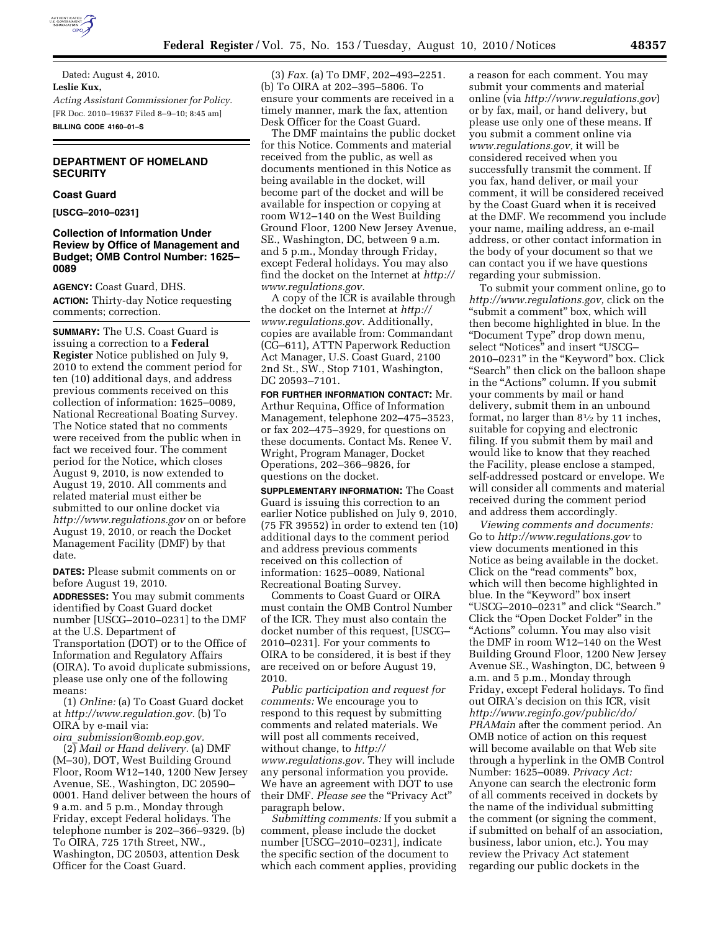

Dated: August 4, 2010. **Leslie Kux,**  *Acting Assistant Commissioner for Policy.*  [FR Doc. 2010–19637 Filed 8–9–10; 8:45 am] **BILLING CODE 4160–01–S** 

# **DEPARTMENT OF HOMELAND SECURITY**

#### **Coast Guard**

**[USCG–2010–0231]** 

# **Collection of Information Under Review by Office of Management and Budget; OMB Control Number: 1625– 0089**

**AGENCY:** Coast Guard, DHS. **ACTION:** Thirty-day Notice requesting comments; correction.

**SUMMARY:** The U.S. Coast Guard is issuing a correction to a **Federal Register** Notice published on July 9, 2010 to extend the comment period for ten (10) additional days, and address previous comments received on this collection of information: 1625–0089, National Recreational Boating Survey. The Notice stated that no comments were received from the public when in fact we received four. The comment period for the Notice, which closes August 9, 2010, is now extended to August 19, 2010. All comments and related material must either be submitted to our online docket via *<http://www.regulations.gov>* on or before August 19, 2010, or reach the Docket Management Facility (DMF) by that date.

**DATES:** Please submit comments on or before August 19, 2010.

**ADDRESSES:** You may submit comments identified by Coast Guard docket number [USCG–2010–0231] to the DMF at the U.S. Department of Transportation (DOT) or to the Office of Information and Regulatory Affairs (OIRA). To avoid duplicate submissions, please use only one of the following means:

(1) *Online:* (a) To Coast Guard docket at *[http://www.regulation.gov.](http://www.regulation.gov)* (b) To OIRA by e-mail via:

*oira*\_*[submission@omb.eop.gov.](mailto:oira_submission@omb.eop.gov)*  (2) *Mail or Hand delivery.* (a) DMF (M–30), DOT, West Building Ground Floor, Room W12–140, 1200 New Jersey Avenue, SE., Washington, DC 20590– 0001. Hand deliver between the hours of 9 a.m. and 5 p.m., Monday through Friday, except Federal holidays. The telephone number is 202–366–9329. (b) To OIRA, 725 17th Street, NW., Washington, DC 20503, attention Desk Officer for the Coast Guard.

(3) *Fax.* (a) To DMF, 202–493–2251. (b) To OIRA at 202–395–5806. To ensure your comments are received in a timely manner, mark the fax, attention Desk Officer for the Coast Guard.

The DMF maintains the public docket for this Notice. Comments and material received from the public, as well as documents mentioned in this Notice as being available in the docket, will become part of the docket and will be available for inspection or copying at room W12–140 on the West Building Ground Floor, 1200 New Jersey Avenue, SE., Washington, DC, between 9 a.m. and 5 p.m., Monday through Friday, except Federal holidays. You may also find the docket on the Internet at *[http://](http://www.regulations.gov)  [www.regulations.gov.](http://www.regulations.gov)* 

A copy of the ICR is available through the docket on the Internet at *[http://](http://www.regulations.gov) [www.regulations.gov.](http://www.regulations.gov)* Additionally, copies are available from: Commandant (CG–611), ATTN Paperwork Reduction Act Manager, U.S. Coast Guard, 2100 2nd St., SW., Stop 7101, Washington, DC 20593–7101.

**FOR FURTHER INFORMATION CONTACT:** Mr. Arthur Requina, Office of Information Management, telephone 202–475–3523, or fax 202–475–3929, for questions on these documents. Contact Ms. Renee V. Wright, Program Manager, Docket Operations, 202–366–9826, for questions on the docket.

**SUPPLEMENTARY INFORMATION:** The Coast Guard is issuing this correction to an earlier Notice published on July 9, 2010, (75 FR 39552) in order to extend ten (10) additional days to the comment period and address previous comments received on this collection of information: 1625–0089, National Recreational Boating Survey.

Comments to Coast Guard or OIRA must contain the OMB Control Number of the ICR. They must also contain the docket number of this request, [USCG– 2010–0231]. For your comments to OIRA to be considered, it is best if they are received on or before August 19, 2010.

*Public participation and request for comments:* We encourage you to respond to this request by submitting comments and related materials. We will post all comments received, without change, to *[http://](http://www.regulations.gov)  [www.regulations.gov.](http://www.regulations.gov)* They will include any personal information you provide. We have an agreement with DOT to use their DMF. Please see the "Privacy Act" paragraph below.

*Submitting comments:* If you submit a comment, please include the docket number [USCG–2010–0231], indicate the specific section of the document to which each comment applies, providing

a reason for each comment. You may submit your comments and material online (via *<http://www.regulations.gov>*) or by fax, mail, or hand delivery, but please use only one of these means. If you submit a comment online via *[www.regulations.gov,](http://www.regulations.gov)* it will be considered received when you successfully transmit the comment. If you fax, hand deliver, or mail your comment, it will be considered received by the Coast Guard when it is received at the DMF. We recommend you include your name, mailing address, an e-mail address, or other contact information in the body of your document so that we can contact you if we have questions regarding your submission.

To submit your comment online, go to *[http://www.regulations.gov,](http://www.regulations.gov)* click on the "submit a comment" box, which will then become highlighted in blue. In the ''Document Type'' drop down menu, select ''Notices'' and insert ''USCG– 2010–0231'' in the ''Keyword'' box. Click "Search" then click on the balloon shape in the "Actions" column. If you submit your comments by mail or hand delivery, submit them in an unbound format, no larger than 81⁄2 by 11 inches, suitable for copying and electronic filing. If you submit them by mail and would like to know that they reached the Facility, please enclose a stamped, self-addressed postcard or envelope. We will consider all comments and material received during the comment period and address them accordingly.

*Viewing comments and documents:*  Go to *<http://www.regulations.gov>*to view documents mentioned in this Notice as being available in the docket. Click on the ''read comments'' box, which will then become highlighted in blue. In the ''Keyword'' box insert ''USCG–2010–0231'' and click ''Search.'' Click the "Open Docket Folder" in the ''Actions'' column. You may also visit the DMF in room W12–140 on the West Building Ground Floor, 1200 New Jersey Avenue SE., Washington, DC, between 9 a.m. and 5 p.m., Monday through Friday, except Federal holidays. To find out OIRA's decision on this ICR, visit *[http://www.reginfo.gov/public/do/](http://www.reginfo.gov/public/do/PRAMain) [PRAMain](http://www.reginfo.gov/public/do/PRAMain)* after the comment period. An OMB notice of action on this request will become available on that Web site through a hyperlink in the OMB Control Number: 1625–0089. *Privacy Act:*  Anyone can search the electronic form of all comments received in dockets by the name of the individual submitting the comment (or signing the comment, if submitted on behalf of an association, business, labor union, etc.). You may review the Privacy Act statement regarding our public dockets in the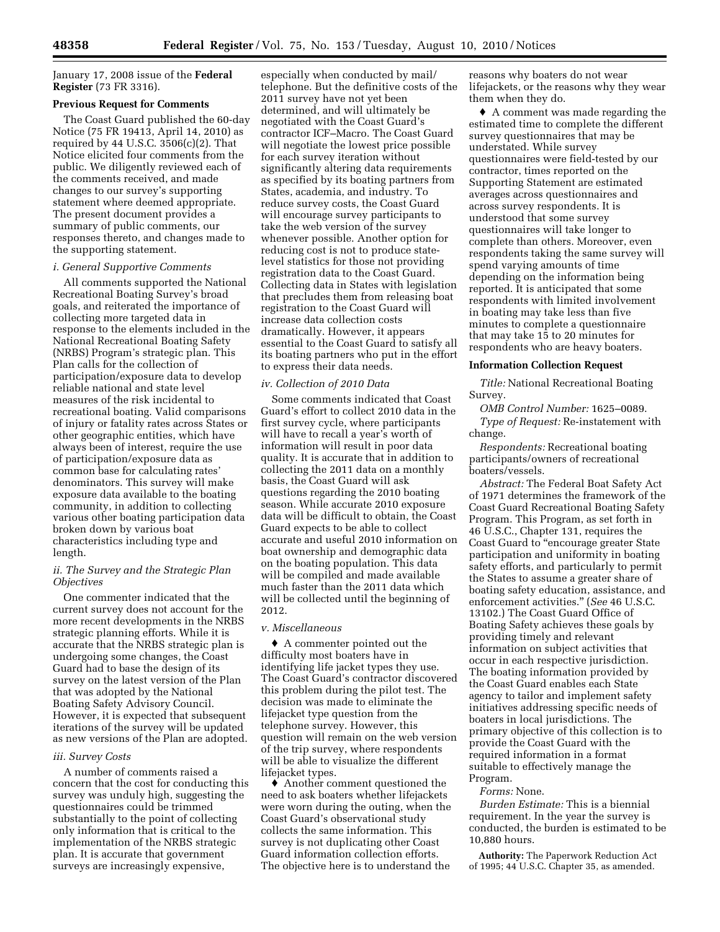January 17, 2008 issue of the **Federal Register** (73 FR 3316).

#### **Previous Request for Comments**

The Coast Guard published the 60-day Notice (75 FR 19413, April 14, 2010) as required by 44 U.S.C. 3506(c)(2). That Notice elicited four comments from the public. We diligently reviewed each of the comments received, and made changes to our survey's supporting statement where deemed appropriate. The present document provides a summary of public comments, our responses thereto, and changes made to the supporting statement.

#### *i. General Supportive Comments*

All comments supported the National Recreational Boating Survey's broad goals, and reiterated the importance of collecting more targeted data in response to the elements included in the National Recreational Boating Safety (NRBS) Program's strategic plan. This Plan calls for the collection of participation/exposure data to develop reliable national and state level measures of the risk incidental to recreational boating. Valid comparisons of injury or fatality rates across States or other geographic entities, which have always been of interest, require the use of participation/exposure data as common base for calculating rates' denominators. This survey will make exposure data available to the boating community, in addition to collecting various other boating participation data broken down by various boat characteristics including type and length.

## *ii. The Survey and the Strategic Plan Objectives*

One commenter indicated that the current survey does not account for the more recent developments in the NRBS strategic planning efforts. While it is accurate that the NRBS strategic plan is undergoing some changes, the Coast Guard had to base the design of its survey on the latest version of the Plan that was adopted by the National Boating Safety Advisory Council. However, it is expected that subsequent iterations of the survey will be updated as new versions of the Plan are adopted.

## *iii. Survey Costs*

A number of comments raised a concern that the cost for conducting this survey was unduly high, suggesting the questionnaires could be trimmed substantially to the point of collecting only information that is critical to the implementation of the NRBS strategic plan. It is accurate that government surveys are increasingly expensive,

especially when conducted by mail/ telephone. But the definitive costs of the 2011 survey have not yet been determined, and will ultimately be negotiated with the Coast Guard's contractor ICF–Macro. The Coast Guard will negotiate the lowest price possible for each survey iteration without significantly altering data requirements as specified by its boating partners from States, academia, and industry. To reduce survey costs, the Coast Guard will encourage survey participants to take the web version of the survey whenever possible. Another option for reducing cost is not to produce statelevel statistics for those not providing registration data to the Coast Guard. Collecting data in States with legislation that precludes them from releasing boat registration to the Coast Guard will increase data collection costs dramatically. However, it appears essential to the Coast Guard to satisfy all its boating partners who put in the effort to express their data needs.

#### *iv. Collection of 2010 Data*

Some comments indicated that Coast Guard's effort to collect 2010 data in the first survey cycle, where participants will have to recall a year's worth of information will result in poor data quality. It is accurate that in addition to collecting the 2011 data on a monthly basis, the Coast Guard will ask questions regarding the 2010 boating season. While accurate 2010 exposure data will be difficult to obtain, the Coast Guard expects to be able to collect accurate and useful 2010 information on boat ownership and demographic data on the boating population. This data will be compiled and made available much faster than the 2011 data which will be collected until the beginning of 2012.

#### *v. Miscellaneous*

♦ A commenter pointed out the difficulty most boaters have in identifying life jacket types they use. The Coast Guard's contractor discovered this problem during the pilot test. The decision was made to eliminate the lifejacket type question from the telephone survey. However, this question will remain on the web version of the trip survey, where respondents will be able to visualize the different lifejacket types.

♦ Another comment questioned the need to ask boaters whether lifejackets were worn during the outing, when the Coast Guard's observational study collects the same information. This survey is not duplicating other Coast Guard information collection efforts. The objective here is to understand the

reasons why boaters do not wear lifejackets, or the reasons why they wear them when they do.

♦ A comment was made regarding the estimated time to complete the different survey questionnaires that may be understated. While survey questionnaires were field-tested by our contractor, times reported on the Supporting Statement are estimated averages across questionnaires and across survey respondents. It is understood that some survey questionnaires will take longer to complete than others. Moreover, even respondents taking the same survey will spend varying amounts of time depending on the information being reported. It is anticipated that some respondents with limited involvement in boating may take less than five minutes to complete a questionnaire that may take 15 to 20 minutes for respondents who are heavy boaters.

#### **Information Collection Request**

*Title:* National Recreational Boating Survey.

*OMB Control Number:* 1625–0089. *Type of Request:* Re-instatement with change.

*Respondents:* Recreational boating participants/owners of recreational boaters/vessels.

*Abstract:* The Federal Boat Safety Act of 1971 determines the framework of the Coast Guard Recreational Boating Safety Program. This Program, as set forth in 46 U.S.C., Chapter 131, requires the Coast Guard to ''encourage greater State participation and uniformity in boating safety efforts, and particularly to permit the States to assume a greater share of boating safety education, assistance, and enforcement activities.'' (*See* 46 U.S.C. 13102.) The Coast Guard Office of Boating Safety achieves these goals by providing timely and relevant information on subject activities that occur in each respective jurisdiction. The boating information provided by the Coast Guard enables each State agency to tailor and implement safety initiatives addressing specific needs of boaters in local jurisdictions. The primary objective of this collection is to provide the Coast Guard with the required information in a format suitable to effectively manage the Program.

#### *Forms:* None.

*Burden Estimate:* This is a biennial requirement. In the year the survey is conducted, the burden is estimated to be 10,880 hours.

**Authority:** The Paperwork Reduction Act of 1995; 44 U.S.C. Chapter 35, as amended.